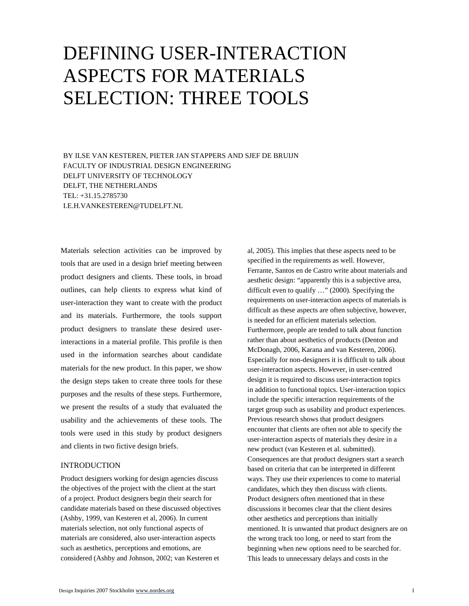# DEFINING USER-INTERACTION ASPECTS FOR MATERIALS SELECTION: THREE TOOLS

BY ILSE VAN KESTEREN, PIETER JAN STAPPERS AND SJEF DE BRUIJN FACULTY OF INDUSTRIAL DESIGN ENGINEERING DELFT UNIVERSITY OF TECHNOLOGY DELFT, THE NETHERLANDS TEL: +31.15.2785730 I.E.H.VANKESTEREN@TUDELFT.NL

Materials selection activities can be improved by tools that are used in a design brief meeting between product designers and clients. These tools, in broad outlines, can help clients to express what kind of user-interaction they want to create with the product and its materials. Furthermore, the tools support product designers to translate these desired userinteractions in a material profile. This profile is then used in the information searches about candidate materials for the new product. In this paper, we show the design steps taken to create three tools for these purposes and the results of these steps. Furthermore, we present the results of a study that evaluated the usability and the achievements of these tools. The tools were used in this study by product designers and clients in two fictive design briefs.

# INTRODUCTION

Product designers working for design agencies discuss the objectives of the project with the client at the start of a project. Product designers begin their search for candidate materials based on these discussed objectives (Ashby, 1999, van Kesteren et al, 2006). In current materials selection, not only functional aspects of materials are considered, also user-interaction aspects such as aesthetics, perceptions and emotions, are considered (Ashby and Johnson, 2002; van Kesteren et

al, 2005). This implies that these aspects need to be specified in the requirements as well. However, Ferrante, Santos en de Castro write about materials and aesthetic design: "apparently this is a subjective area, difficult even to qualify …" (2000). Specifying the requirements on user-interaction aspects of materials is difficult as these aspects are often subjective, however, is needed for an efficient materials selection. Furthermore, people are tended to talk about function rather than about aesthetics of products (Denton and McDonagh, 2006, Karana and van Kesteren, 2006). Especially for non-designers it is difficult to talk about user-interaction aspects. However, in user-centred design it is required to discuss user-interaction topics in addition to functional topics. User-interaction topics include the specific interaction requirements of the target group such as usability and product experiences. Previous research shows that product designers encounter that clients are often not able to specify the user-interaction aspects of materials they desire in a new product (van Kesteren et al. submitted). Consequences are that product designers start a search based on criteria that can be interpreted in different ways. They use their experiences to come to material candidates, which they then discuss with clients. Product designers often mentioned that in these discussions it becomes clear that the client desires other aesthetics and perceptions than initially mentioned. It is unwanted that product designers are on the wrong track too long, or need to start from the beginning when new options need to be searched for. This leads to unnecessary delays and costs in the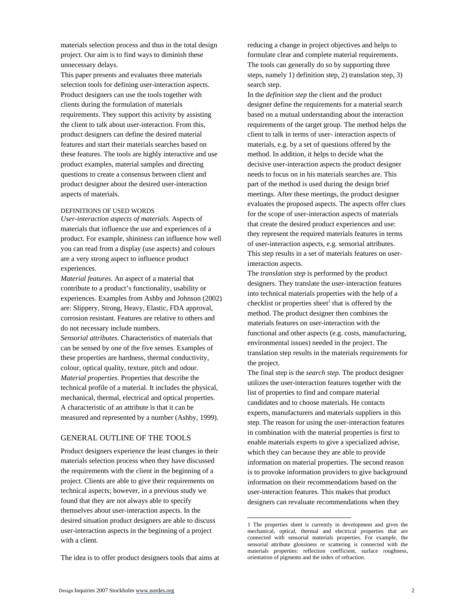materials selection process and thus in the total design project. Our aim is to find ways to diminish these unnecessary delays.

This paper presents and evaluates three materials selection tools for defining user-interaction aspects. Product designers can use the tools together with clients during the formulation of materials requirements. They support this activity by assisting the client to talk about user-interaction. From this, product designers can define the desired material features and start their materials searches based on these features. The tools are highly interactive and use product examples, material samples and directing questions to create a consensus between client and product designer about the desired user-interaction aspects of materials.

## DEFINITIONS OF USED WORDS

*User-interaction aspects of materials.* Aspects of materials that influence the use and experiences of a product. For example, shininess can influence how well you can read from a display (use aspects) and colours are a very strong aspect to influence product experiences.

*Material features.* An aspect of a material that contribute to a product's functionality, usability or experiences. Examples from Ashby and Johnson (2002) are: Slippery, Strong, Heavy, Elastic, FDA approval, corrosion resistant. Features are relative to others and do not necessary include numbers.

*Sensorial attributes.* Characteristics of materials that can be sensed by one of the five senses. Examples of these properties are hardness, thermal conductivity, colour, optical quality, texture, pitch and odour. *Material properties.* Properties that describe the technical profile of a material. It includes the physical, mechanical, thermal, electrical and optical properties. A characteristic of an attribute is that it can be measured and represented by a number (Ashby, 1999).

# GENERAL OUTLINE OF THE TOOLS

Product designers experience the least changes in their materials selection process when they have discussed the requirements with the client in the beginning of a project. Clients are able to give their requirements on technical aspects; however, in a previous study we found that they are not always able to specify themselves about user-interaction aspects. In the desired situation product designers are able to discuss user-interaction aspects in the beginning of a project with a client.

The idea is to offer product designers tools that aims at

reducing a change in project objectives and helps to formulate clear and complete material requirements. The tools can generally do so by supporting three steps, namely 1) definition step, 2) translation step, 3) search step.

In the *definition step* the client and the product designer define the requirements for a material search based on a mutual understanding about the interaction requirements of the target group. The method helps the client to talk in terms of user- interaction aspects of materials, e.g. by a set of questions offered by the method. In addition, it helps to decide what the decisive user-interaction aspects the product designer needs to focus on in his materials searches are. This part of the method is used during the design brief meetings. After these meetings, the product designer evaluates the proposed aspects. The aspects offer clues for the scope of user-interaction aspects of materials that create the desired product experiences and use: they represent the required materials features in terms of user-interaction aspects, e.g. sensorial attributes. This step results in a set of materials features on userinteraction aspects.

The *translation step* is performed by the product designers. They translate the user-interaction features into technical materials properties with the help of a checklist or properties sheet<sup>1</sup> that is offered by the method. The product designer then combines the materials features on user-interaction with the functional and other aspects (e.g. costs, manufacturing, environmental issues) needed in the project. The translation step results in the materials requirements for the project.

The final step is the *search step*. The product designer utilizes the user-interaction features together with the list of properties to find and compare material candidates and to choose materials*.* He contacts experts, manufacturers and materials suppliers in this step. The reason for using the user-interaction features in combination with the material properties is first to enable materials experts to give a specialized advise, which they can because they are able to provide information on material properties. The second reason is to provoke information providers to give background information on their recommendations based on the user-interaction features. This makes that product designers can revaluate recommendations when they

-

<sup>1</sup> The properties sheet is currently in development and gives the mechanical, optical, thermal and electrical properties that are connected with sensorial materials properties. For example, the sensorial attribute glossiness or scattering is connected with the materials properties: reflection coefficient, surface roughness, orientation of pigments and the index of refraction.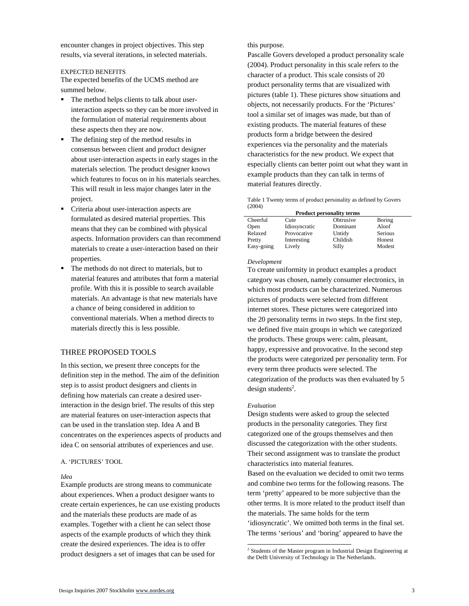encounter changes in project objectives. This step results, via several iterations, in selected materials.

# EXPECTED BENEFITS

The expected benefits of the UCMS method are summed below.

- The method helps clients to talk about userinteraction aspects so they can be more involved in the formulation of material requirements about these aspects then they are now.
- The defining step of the method results in consensus between client and product designer about user-interaction aspects in early stages in the materials selection. The product designer knows which features to focus on in his materials searches. This will result in less major changes later in the project.
- Criteria about user-interaction aspects are formulated as desired material properties. This means that they can be combined with physical aspects. Information providers can than recommend materials to create a user-interaction based on their properties.
- The methods do not direct to materials, but to material features and attributes that form a material profile. With this it is possible to search available materials. An advantage is that new materials have a chance of being considered in addition to conventional materials. When a method directs to materials directly this is less possible.

# THREE PROPOSED TOOLS

In this section, we present three concepts for the definition step in the method. The aim of the definition step is to assist product designers and clients in defining how materials can create a desired userinteraction in the design brief. The results of this step are material features on user-interaction aspects that can be used in the translation step. Idea A and B concentrates on the experiences aspects of products and idea C on sensorial attributes of experiences and use.

## A. 'PICTURES' TOOL

## *Idea*

Example products are strong means to communicate about experiences. When a product designer wants to create certain experiences, he can use existing products and the materials these products are made of as examples. Together with a client he can select those aspects of the example products of which they think create the desired experiences. The idea is to offer product designers a set of images that can be used for

this purpose.

Pascalle Govers developed a product personality scale (2004). Product personality in this scale refers to the character of a product. This scale consists of 20 product personality terms that are visualized with pictures (table 1). These pictures show situations and objects, not necessarily products. For the 'Pictures' tool a similar set of images was made, but than of existing products. The material features of these products form a bridge between the desired experiences via the personality and the materials characteristics for the new product. We expect that especially clients can better point out what they want in example products than they can talk in terms of material features directly.

Table 1 Twenty terms of product personality as defined by Govers (2004)

| <b>Product personality terms</b> |               |           |                |  |  |
|----------------------------------|---------------|-----------|----------------|--|--|
| Cheerful                         | Cute          | Obtrusive | Boring         |  |  |
| Open                             | Idiosyncratic | Dominant  | Aloof          |  |  |
| Relaxed                          | Provocative   | Untidy    | <b>Serious</b> |  |  |
| Pretty                           | Interesting   | Childish  | Honest         |  |  |
| Easy-going                       | Lively        | Silly     | Modest         |  |  |

#### *Development*

To create uniformity in product examples a product category was chosen, namely consumer electronics, in which most products can be characterized. Numerous pictures of products were selected from different internet stores. These pictures were categorized into the 20 personality terms in two steps. In the first step, we defined five main groups in which we categorized the products. These groups were: calm, pleasant, happy, expressive and provocative. In the second step the products were categorized per personality term. For every term three products were selected. The categorization of the products was then evaluated by 5 design students<sup>2</sup>.

#### *Evaluation*

-

Design students were asked to group the selected products in the personality categories. They first categorized one of the groups themselves and then discussed the categorization with the other students. Their second assignment was to translate the product characteristics into material features.

Based on the evaluation we decided to omit two terms and combine two terms for the following reasons. The term 'pretty' appeared to be more subjective than the other terms. It is more related to the product itself than the materials. The same holds for the term 'idiosyncratic'. We omitted both terms in the final set.

The terms 'serious' and 'boring' appeared to have the

<sup>&</sup>lt;sup>2</sup> Students of the Master program in Industrial Design Engineering at the Delft University of Technology in The Netherlands.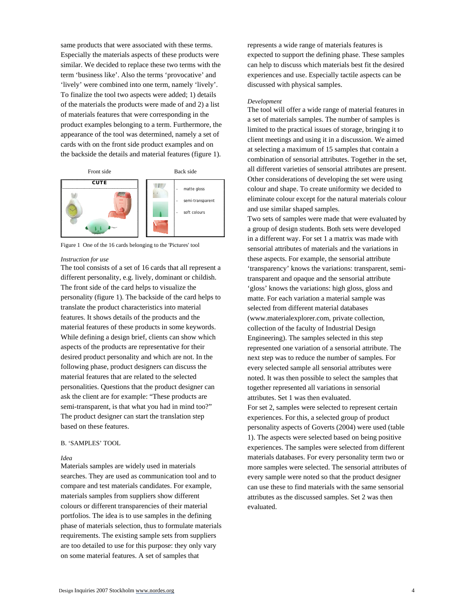same products that were associated with these terms. Especially the materials aspects of these products were similar. We decided to replace these two terms with the term 'business like'. Also the terms 'provocative' and 'lively' were combined into one term, namely 'lively'. To finalize the tool two aspects were added; 1) details of the materials the products were made of and 2) a list of materials features that were corresponding in the product examples belonging to a term. Furthermore, the appearance of the tool was determined, namely a set of cards with on the front side product examples and on the backside the details and material features (figure 1).



Figure 1 One of the 16 cards belonging to the 'Pictures' tool

#### *Instruction for use*

The tool consists of a set of 16 cards that all represent a different personality, e.g. lively, dominant or childish. The front side of the card helps to visualize the personality (figure 1). The backside of the card helps to translate the product characteristics into material features. It shows details of the products and the material features of these products in some keywords. While defining a design brief, clients can show which aspects of the products are representative for their desired product personality and which are not. In the following phase, product designers can discuss the material features that are related to the selected personalities. Questions that the product designer can ask the client are for example: "These products are semi-transparent, is that what you had in mind too?" The product designer can start the translation step based on these features.

# B. 'SAMPLES' TOOL

## *Idea*

Materials samples are widely used in materials searches. They are used as communication tool and to compare and test materials candidates. For example, materials samples from suppliers show different colours or different transparencies of their material portfolios. The idea is to use samples in the defining phase of materials selection, thus to formulate materials requirements. The existing sample sets from suppliers are too detailed to use for this purpose: they only vary on some material features. A set of samples that

represents a wide range of materials features is expected to support the defining phase. These samples can help to discuss which materials best fit the desired experiences and use. Especially tactile aspects can be discussed with physical samples.

#### *Development*

The tool will offer a wide range of material features in a set of materials samples. The number of samples is limited to the practical issues of storage, bringing it to client meetings and using it in a discussion. We aimed at selecting a maximum of 15 samples that contain a combination of sensorial attributes. Together in the set, all different varieties of sensorial attributes are present. Other considerations of developing the set were using colour and shape. To create uniformity we decided to eliminate colour except for the natural materials colour and use similar shaped samples.

Two sets of samples were made that were evaluated by a group of design students. Both sets were developed in a different way. For set 1 a matrix was made with sensorial attributes of materials and the variations in these aspects. For example, the sensorial attribute 'transparency' knows the variations: transparent, semitransparent and opaque and the sensorial attribute 'gloss' knows the variations: high gloss, gloss and matte. For each variation a material sample was selected from different material databases (www.materialexplorer.com, private collection, collection of the faculty of Industrial Design Engineering). The samples selected in this step represented one variation of a sensorial attribute. The next step was to reduce the number of samples. For every selected sample all sensorial attributes were noted. It was then possible to select the samples that together represented all variations in sensorial attributes. Set 1 was then evaluated. For set 2, samples were selected to represent certain experiences. For this, a selected group of product personality aspects of Goverts (2004) were used (table 1). The aspects were selected based on being positive experiences. The samples were selected from different materials databases. For every personality term two or more samples were selected. The sensorial attributes of every sample were noted so that the product designer can use these to find materials with the same sensorial attributes as the discussed samples. Set 2 was then evaluated.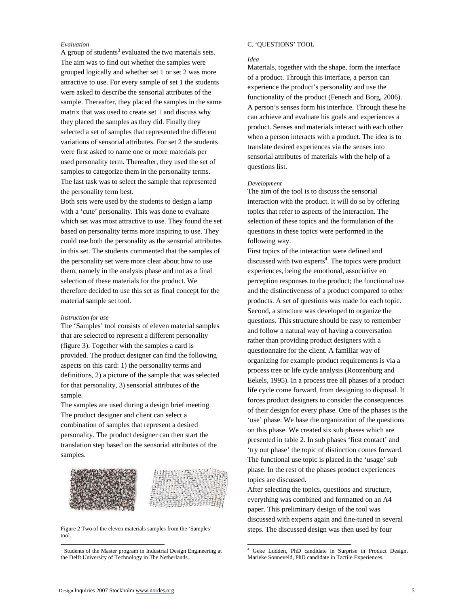## *Evaluation*

A group of students<sup>3</sup> evaluated the two materials sets. The aim was to find out whether the samples were grouped logically and whether set 1 or set 2 was more attractive to use. For every sample of set 1 the students were asked to describe the sensorial attributes of the sample. Thereafter, they placed the samples in the same matrix that was used to create set 1 and discuss why they placed the samples as they did. Finally they selected a set of samples that represented the different variations of sensorial attributes. For set 2 the students were first asked to name one or more materials per used personality term. Thereafter, they used the set of samples to categorize them in the personality terms. The last task was to select the sample that represented the personality term best.

Both sets were used by the students to design a lamp with a 'cute' personality. This was done to evaluate which set was most attractive to use. They found the set based on personality terms more inspiring to use. They could use both the personality as the sensorial attributes in this set. The students commented that the samples of the personality set were more clear about how to use them, namely in the analysis phase and not as a final selection of these materials for the product. We therefore decided to use this set as final concept for the material sample set tool.

### *Instruction for use*

The 'Samples' tool consists of eleven material samples that are selected to represent a different personality (figure 3). Together with the samples a card is provided. The product designer can find the following aspects on this card: 1) the personality terms and definitions, 2) a picture of the sample that was selected for that personality, 3) sensorial attributes of the sample.

The samples are used during a design brief meeting. The product designer and client can select a combination of samples that represent a desired personality. The product designer can then start the translation step based on the sensorial attributes of the samples.



Figure 2 Two of the eleven materials samples from the 'Samples' tool.

## C. 'QUESTIONS' TOOL

## *Idea*

Materials, together with the shape, form the interface of a product. Through this interface, a person can experience the product's personality and use the functionality of the product (Fenech and Borg, 2006). A person's senses form his interface. Through these he can achieve and evaluate his goals and experiences a product. Senses and materials interact with each other when a person interacts with a product. The idea is to translate desired experiences via the senses into sensorial attributes of materials with the help of a questions list.

#### *Development*

The aim of the tool is to discuss the sensorial interaction with the product. It will do so by offering topics that refer to aspects of the interaction. The selection of these topics and the formulation of the questions in these topics were performed in the following way.

First topics of the interaction were defined and discussed with two experts<sup>4</sup>. The topics were product experiences, being the emotional, associative en perception responses to the product; the functional use and the distinctiveness of a product compared to other products. A set of questions was made for each topic. Second, a structure was developed to organize the questions. This structure should be easy to remember and follow a natural way of having a conversation rather than providing product designers with a questionnaire for the client. A familiar way of organizing for example product requirements is via a process tree or life cycle analysis (Roozenburg and Eekels, 1995). In a process tree all phases of a product life cycle come forward, from designing to disposal. It forces product designers to consider the consequences of their design for every phase. One of the phases is the 'use' phase. We base the organization of the questions on this phase. We created six sub phases which are presented in table 2. In sub phases 'first contact' and 'try out phase' the topic of distinction comes forward. The functional use topic is placed in the 'usage' sub phase. In the rest of the phases product experiences topics are discussed.

After selecting the topics, questions and structure, everything was combined and formatted on an A4 paper. This preliminary design of the tool was discussed with experts again and fine-tuned in several steps. The discussed design was then used by four

-

l

<sup>&</sup>lt;sup>3</sup> Students of the Master program in Industrial Design Engineering at the Delft University of Technology in The Netherlands.

<sup>4</sup> Geke Ludden, PhD candidate in Surprise in Product Design, Marieke Sonneveld, PhD candidate in Tactile Experiences.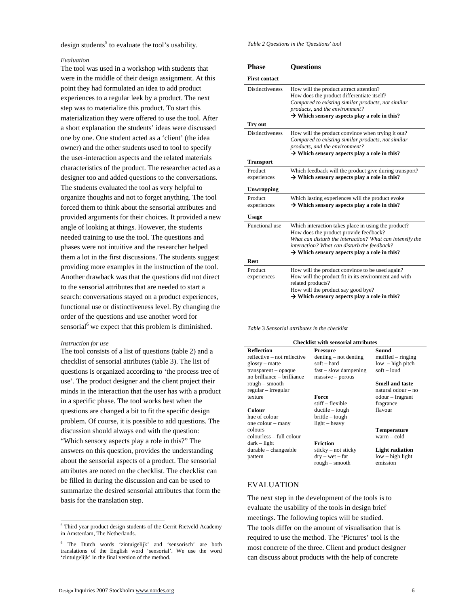design students<sup>5</sup> to evaluate the tool's usability.

## *Evaluation*

The tool was used in a workshop with students that were in the middle of their design assignment. At this point they had formulated an idea to add product experiences to a regular leek by a product. The next step was to materialize this product. To start this materialization they were offered to use the tool. After a short explanation the students' ideas were discussed one by one. One student acted as a 'client' (the idea owner) and the other students used to tool to specify the user-interaction aspects and the related materials characteristics of the product. The researcher acted as a designer too and added questions to the conversations. The students evaluated the tool as very helpful to organize thoughts and not to forget anything. The tool forced them to think about the sensorial attributes and provided arguments for their choices. It provided a new angle of looking at things. However, the students needed training to use the tool. The questions and phases were not intuitive and the researcher helped them a lot in the first discussions. The students suggest providing more examples in the instruction of the tool. Another drawback was that the questions did not direct to the sensorial attributes that are needed to start a search: conversations stayed on a product experiences, functional use or distinctiveness level. By changing the order of the questions and use another word for sensorial<sup>6</sup> we expect that this problem is diminished.

## *Instruction for use*

The tool consists of a list of questions (table 2) and a checklist of sensorial attributes (table 3). The list of questions is organized according to 'the process tree of use'. The product designer and the client project their minds in the interaction that the user has with a product in a specific phase. The tool works best when the questions are changed a bit to fit the specific design problem. Of course, it is possible to add questions. The discussion should always end with the question: "Which sensory aspects play a role in this?" The answers on this question, provides the understanding about the sensorial aspects of a product. The sensorial attributes are noted on the checklist. The checklist can be filled in during the discussion and can be used to summarize the desired sensorial attributes that form the basis for the translation step.

*Table 2 Questions in the 'Questions' tool* 

| <b>Phase</b>           | <b>Questions</b>                                                                                                                                                                                                                                                     |  |  |
|------------------------|----------------------------------------------------------------------------------------------------------------------------------------------------------------------------------------------------------------------------------------------------------------------|--|--|
| <b>First contact</b>   |                                                                                                                                                                                                                                                                      |  |  |
| <b>Distinctiveness</b> | How will the product attract attention?<br>How does the product differentiate itself?<br>Compared to existing similar products, not similar<br>products, and the environment?<br>$\rightarrow$ Which sensory aspects play a role in this?                            |  |  |
| Try out                |                                                                                                                                                                                                                                                                      |  |  |
| <b>Distinctiveness</b> | How will the product convince when trying it out?<br>Compared to existing similar products, not similar<br>products, and the environment?<br>$\rightarrow$ Which sensory aspects play a role in this?                                                                |  |  |
| <b>Transport</b>       |                                                                                                                                                                                                                                                                      |  |  |
| Product<br>experiences | Which feedback will the product give during transport?<br>$\rightarrow$ Which sensory aspects play a role in this?                                                                                                                                                   |  |  |
| <b>Unwrapping</b>      |                                                                                                                                                                                                                                                                      |  |  |
| Product<br>experiences | Which lasting experiences will the product evoke<br>$\rightarrow$ Which sensory aspects play a role in this?                                                                                                                                                         |  |  |
| <b>Usage</b>           |                                                                                                                                                                                                                                                                      |  |  |
| Functional use         | Which interaction takes place in using the product?<br>How does the product provide feedback?<br>What can disturb the interaction? What can intensify the<br>interaction? What can disturb the feedback?<br>$\rightarrow$ Which sensory aspects play a role in this? |  |  |
| <b>Rest</b>            |                                                                                                                                                                                                                                                                      |  |  |
| Product<br>experiences | How will the product convince to be used again?<br>How will the product fit in its environment and with<br>related products?<br>How will the product say good bye?<br>$\rightarrow$ Which sensory aspects play a role in this?                                       |  |  |

*Table* 3 *Sensorial attributes in the checklist* 

**Checklist with sensorial attributes Reflection Pressure Sound**<br>reflective – not reflective denting – not denting muffled – ringing  $reflective - not reflective$  denting – not denting glossy – matte soft – hard low – high pitch<br>transparent – opaque fast – slow dampening soft – loud  $fast - slow$  dampingno brilliance – brilliance massive – porous rough – smooth **Smell and taste**  regular – irregular texture **Force** stiff – flexible fragrance **Colour** ductile – tough flavour<br>hue of colour brittle – tough flavour brittle – tough

light – heavy

colourless – full colour dark – light **Friction** durable – changeable sticky – not sticky **Light radiation** pattern dry – wet – fat rough – smooth

natural odour – no odour – fragrant

**Temperature**

low – high light emission

## EVALUATION

one colour – many colours

The next step in the development of the tools is to evaluate the usability of the tools in design brief meetings. The following topics will be studied. The tools differ on the amount of visualisation that is required to use the method. The 'Pictures' tool is the most concrete of the three. Client and product designer can discuss about products with the help of concrete

<sup>&</sup>lt;sup>5</sup> Third year product design students of the Gerrit Rietveld Academy in Amsterdam, The Netherlands.

<sup>6</sup> The Dutch words 'zintuigelijk' and 'sensorisch' are both translations of the English word 'sensorial'. We use the word 'zintuigelijk' in the final version of the method.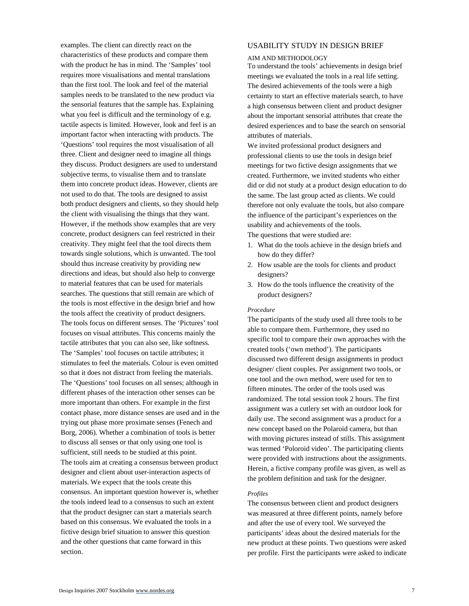examples. The client can directly react on the characteristics of these products and compare them with the product he has in mind. The 'Samples' tool requires more visualisations and mental translations than the first tool. The look and feel of the material samples needs to be translated to the new product via the sensorial features that the sample has. Explaining what you feel is difficult and the terminology of e.g. tactile aspects is limited. However, look and feel is an important factor when interacting with products. The 'Questions' tool requires the most visualisation of all three. Client and designer need to imagine all things they discuss. Product designers are used to understand subjective terms, to visualise them and to translate them into concrete product ideas. However, clients are not used to do that. The tools are designed to assist both product designers and clients, so they should help the client with visualising the things that they want. However, if the methods show examples that are very concrete, product designers can feel restricted in their creativity. They might feel that the tool directs them towards single solutions, which is unwanted. The tool should thus increase creativity by providing new directions and ideas, but should also help to converge to material features that can be used for materials searches. The questions that still remain are which of the tools is most effective in the design brief and how the tools affect the creativity of product designers. The tools focus on different senses. The 'Pictures' tool focuses on visual attributes. This concerns mainly the tactile attributes that you can also see, like softness. The 'Samples' tool focuses on tactile attributes; it stimulates to feel the materials. Colour is even omitted so that it does not distract from feeling the materials. The 'Questions' tool focuses on all senses; although in different phases of the interaction other senses can be more important than others. For example in the first contact phase, more distance senses are used and in the trying out phase more proximate senses (Fenech and Borg, 2006). Whether a combination of tools is better to discuss all senses or that only using one tool is sufficient, still needs to be studied at this point. The tools aim at creating a consensus between product designer and client about user-interaction aspects of materials. We expect that the tools create this consensus. An important question however is, whether the tools indeed lead to a consensus to such an extent that the product designer can start a materials search based on this consensus. We evaluated the tools in a fictive design brief situation to answer this question and the other questions that came forward in this section.

# USABILITY STUDY IN DESIGN BRIEF

## AIM AND METHODOLOGY

To understand the tools' achievements in design brief meetings we evaluated the tools in a real life setting. The desired achievements of the tools were a high certainty to start an effective materials search, to have a high consensus between client and product designer about the important sensorial attributes that create the desired experiences and to base the search on sensorial attributes of materials.

We invited professional product designers and professional clients to use the tools in design brief meetings for two fictive design assignments that we created. Furthermore, we invited students who either did or did not study at a product design education to do the same. The last group acted as clients. We could therefore not only evaluate the tools, but also compare the influence of the participant's experiences on the usability and achievements of the tools.

The questions that were studied are:

- 1. What do the tools achieve in the design briefs and how do they differ?
- 2. How usable are the tools for clients and product designers?
- 3. How do the tools influence the creativity of the product designers?

## *Procedure*

The participants of the study used all three tools to be able to compare them. Furthermore, they used no specific tool to compare their own approaches with the created tools ('own method'). The participants discussed two different design assignments in product designer/ client couples. Per assignment two tools, or one tool and the own method, were used for ten to fifteen minutes. The order of the tools used was randomized. The total session took 2 hours. The first assignment was a cutlery set with an outdoor look for daily use. The second assignment was a product for a new concept based on the Polaroid camera, but than with moving pictures instead of stills. This assignment was termed 'Poloroid video'. The participating clients were provided with instructions about the assignments. Herein, a fictive company profile was given, as well as the problem definition and task for the designer.

## *Profiles*

The consensus between client and product designers was measured at three different points, namely before and after the use of every tool. We surveyed the participants' ideas about the desired materials for the new product at these points. Two questions were asked per profile. First the participants were asked to indicate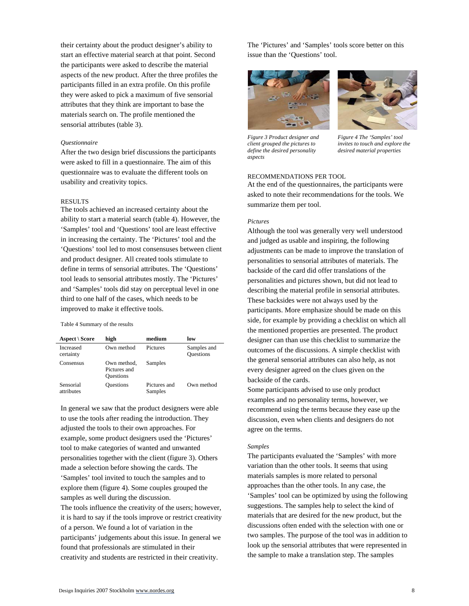their certainty about the product designer's ability to start an effective material search at that point. Second the participants were asked to describe the material aspects of the new product. After the three profiles the participants filled in an extra profile. On this profile they were asked to pick a maximum of five sensorial attributes that they think are important to base the materials search on. The profile mentioned the sensorial attributes (table 3).

## *Questionnaire*

After the two design brief discussions the participants were asked to fill in a questionnaire. The aim of this questionnaire was to evaluate the different tools on usability and creativity topics.

## RESULTS

The tools achieved an increased certainty about the ability to start a material search (table 4). However, the 'Samples' tool and 'Questions' tool are least effective in increasing the certainty. The 'Pictures' tool and the 'Questions' tool led to most consensuses between client and product designer. All created tools stimulate to define in terms of sensorial attributes. The 'Questions' tool leads to sensorial attributes mostly. The 'Pictures' and 'Samples' tools did stay on perceptual level in one third to one half of the cases, which needs to be improved to make it effective tools.

#### Table 4 Summary of the results

| Aspect \ Score          | high                                            | medium                  | low                             |
|-------------------------|-------------------------------------------------|-------------------------|---------------------------------|
| Increased<br>certainty  | Own method                                      | Pictures                | Samples and<br><b>Questions</b> |
| Consensus               | Own method.<br>Pictures and<br><b>Questions</b> | Samples                 |                                 |
| Sensorial<br>attributes | <b>Questions</b>                                | Pictures and<br>Samples | Own method                      |

In general we saw that the product designers were able to use the tools after reading the introduction. They adjusted the tools to their own approaches. For example, some product designers used the 'Pictures' tool to make categories of wanted and unwanted personalities together with the client (figure 3). Others made a selection before showing the cards. The 'Samples' tool invited to touch the samples and to explore them (figure 4). Some couples grouped the samples as well during the discussion.

The tools influence the creativity of the users; however, it is hard to say if the tools improve or restrict creativity of a person. We found a lot of variation in the participants' judgements about this issue. In general we found that professionals are stimulated in their creativity and students are restricted in their creativity.

The 'Pictures' and 'Samples' tools score better on this issue than the 'Questions' tool.



*Figure 3 Product designer and client grouped the pictures to define the desired personality aspects* 



*Figure 4 The 'Samples' tool invites to touch and explore the desired material properties* 

## RECOMMENDATIONS PER TOOL

At the end of the questionnaires, the participants were asked to note their recommendations for the tools. We summarize them per tool.

## *Pictures*

Although the tool was generally very well understood and judged as usable and inspiring, the following adjustments can be made to improve the translation of personalities to sensorial attributes of materials. The backside of the card did offer translations of the personalities and pictures shown, but did not lead to describing the material profile in sensorial attributes. These backsides were not always used by the participants. More emphasize should be made on this side, for example by providing a checklist on which all the mentioned properties are presented. The product designer can than use this checklist to summarize the outcomes of the discussions. A simple checklist with the general sensorial attributes can also help, as not every designer agreed on the clues given on the backside of the cards.

Some participants advised to use only product examples and no personality terms, however, we recommend using the terms because they ease up the discussion, even when clients and designers do not agree on the terms.

## *Samples*

The participants evaluated the 'Samples' with more variation than the other tools. It seems that using materials samples is more related to personal approaches than the other tools. In any case, the 'Samples' tool can be optimized by using the following suggestions. The samples help to select the kind of materials that are desired for the new product, but the discussions often ended with the selection with one or two samples. The purpose of the tool was in addition to look up the sensorial attributes that were represented in the sample to make a translation step. The samples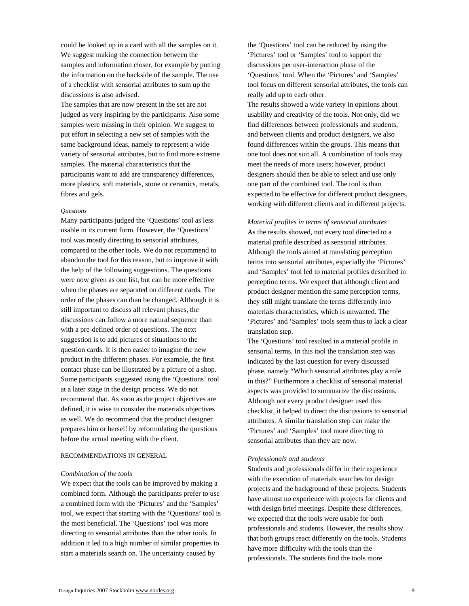could be looked up in a card with all the samples on it. We suggest making the connection between the samples and information closer, for example by putting the information on the backside of the sample. The use of a checklist with sensorial attributes to sum up the discussions is also advised.

The samples that are now present in the set are not judged as very inspiring by the participants. Also some samples were missing in their opinion. We suggest to put effort in selecting a new set of samples with the same background ideas, namely to represent a wide variety of sensorial attributes, but to find more extreme samples. The material characteristics that the participants want to add are transparency differences, more plastics, soft materials, stone or ceramics, metals, fibres and gels.

## *Questions*

Many participants judged the 'Questions' tool as less usable in its current form. However, the 'Questions' tool was mostly directing to sensorial attributes, compared to the other tools. We do not recommend to abandon the tool for this reason, but to improve it with the help of the following suggestions. The questions were now given as one list, but can be more effective when the phases are separated on different cards. The order of the phases can than be changed. Although it is still important to discuss all relevant phases, the discussions can follow a more natural sequence than with a pre-defined order of questions. The next suggestion is to add pictures of situations to the question cards. It is then easier to imagine the new product in the different phases. For example, the first contact phase can be illustrated by a picture of a shop. Some participants suggested using the 'Questions' tool at a later stage in the design process. We do not recommend that. As soon as the project objectives are defined, it is wise to consider the materials objectives as well. We do recommend that the product designer prepares him or herself by reformulating the questions before the actual meeting with the client.

## RECOMMENDATIONS IN GENERAL

#### *Combination of the tools*

We expect that the tools can be improved by making a combined form. Although the participants prefer to use a combined form with the 'Pictures' and the 'Samples' tool, we expect that starting with the 'Questions' tool is the most beneficial. The 'Questions' tool was more directing to sensorial attributes than the other tools. In addition it led to a high number of similar properties to start a materials search on. The uncertainty caused by

the 'Questions' tool can be reduced by using the 'Pictures' tool or 'Samples' tool to support the discussions per user-interaction phase of the 'Questions' tool. When the 'Pictures' and 'Samples' tool focus on different sensorial attributes, the tools can really add up to each other.

The results showed a wide variety in opinions about usability and creativity of the tools. Not only, did we find differences between professionals and students, and between clients and product designers, we also found differences within the groups. This means that one tool does not suit all. A combination of tools may meet the needs of more users; however, product designers should then be able to select and use only one part of the combined tool. The tool is than expected to be effective for different product designers, working with different clients and in different projects.

*Material profiles in terms of sensorial attributes*  As the results showed, not every tool directed to a material profile described as sensorial attributes. Although the tools aimed at translating perception terms into sensorial attributes, especially the 'Pictures' and 'Samples' tool led to material profiles described in perception terms. We expect that although client and product designer mention the same perception terms, they still might translate the terms differently into materials characteristics, which is unwanted. The 'Pictures' and 'Samples' tools seem thus to lack a clear translation step.

The 'Questions' tool resulted in a material profile in sensorial terms. In this tool the translation step was indicated by the last question for every discussed phase, namely "Which sensorial attributes play a role in this?" Furthermore a checklist of sensorial material aspects was provided to summarize the discussions. Although not every product designer used this checklist, it helped to direct the discussions to sensorial attributes. A similar translation step can make the 'Pictures' and 'Samples' tool more directing to sensorial attributes than they are now.

## *Professionals and students*

Students and professionals differ in their experience with the execution of materials searches for design projects and the background of these projects. Students have almost no experience with projects for clients and with design brief meetings. Despite these differences, we expected that the tools were usable for both professionals and students. However, the results show that both groups react differently on the tools. Students have more difficulty with the tools than the professionals. The students find the tools more